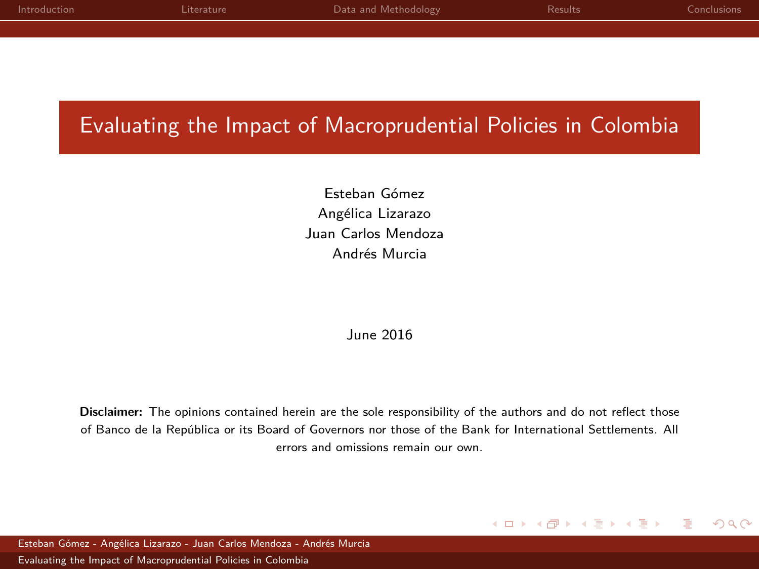<span id="page-0-0"></span>

| Introduction | Literature | Data and Methodology | Results | Conclusions. |
|--------------|------------|----------------------|---------|--------------|
|              |            |                      |         |              |

# Evaluating the Impact of Macroprudential Policies in Colombia

Esteban Gómez Angélica Lizarazo Juan Carlos Mendoza - Andrés Murcia

### June 2016

**Disclaimer:** The opinions contained herein are the sole responsibility of the authors and do not reflect those of Banco de la República or its Board of Governors nor those of the Bank for International Settlements. All errors and omissions remain our own.

#### $QQ$ イロト イ母 トイヨ トイヨト

Esteban Gómez - Angélica Lizarazo - Juan Carlos Mendoza - Andrés Murcia [Evaluating the Impact of Macroprudential Policies in Colombia](#page-30-0)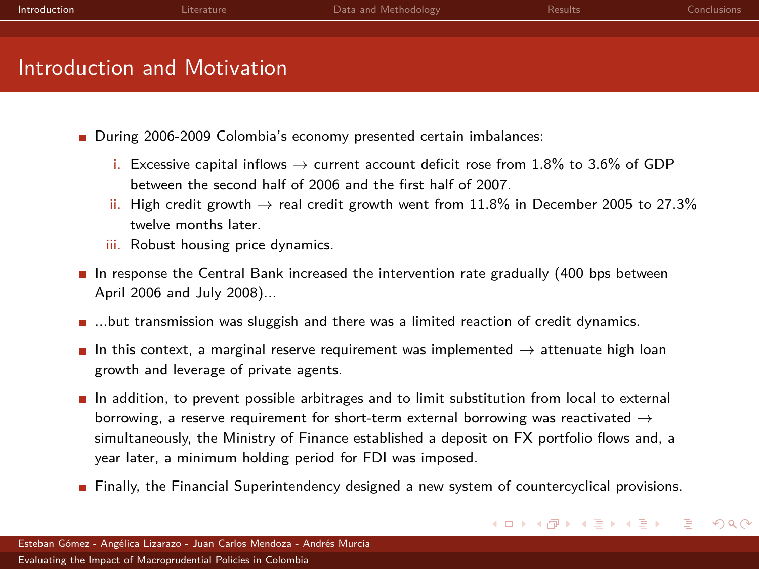<span id="page-1-0"></span>

| Introduction                | Literature | Data and Methodology | <b>Results</b> | <b>Conclusions</b> |
|-----------------------------|------------|----------------------|----------------|--------------------|
|                             |            |                      |                |                    |
| Introduction and Motivation |            |                      |                |                    |

- During 2006-2009 Colombia's economy presented certain imbalances:
	- i. Excessive capital inflows  $\rightarrow$  current account deficit rose from 1.8% to 3.6% of GDP between the second half of 2006 and the first half of 2007.
	- ii. High credit growth  $\rightarrow$  real credit growth went from 11.8% in December 2005 to 27.3% twelve months later.
	- iii. Robust housing price dynamics.
- In response the Central Bank increased the intervention rate gradually (400 bps between April 2006 and July 2008)...
- ...but transmission was sluggish and there was a limited reaction of credit dynamics.
- In this context, a marginal reserve requirement was implemented  $\rightarrow$  attenuate high loan growth and leverage of private agents.
- In addition, to prevent possible arbitrages and to limit substitution from local to external borrowing, a reserve requirement for short-term external borrowing was reactivated  $\rightarrow$ simultaneously, the Ministry of Finance established a deposit on FX portfolio flows and, a year later, a minimum holding period for FDI was imposed.
- **Finally, the Financial Superintendency designed a new system of countercyclical provisions.**

イロト イ押ト イヨト イヨト

 $QQ$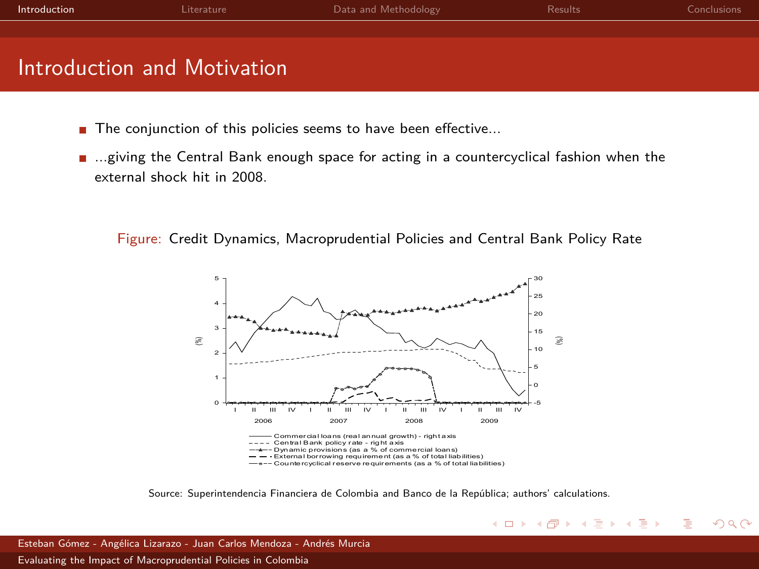| Introduction                | Literature | Data and Methodology | <b>Results</b> | Conclusions: |
|-----------------------------|------------|----------------------|----------------|--------------|
|                             |            |                      |                |              |
| Introduction and Motivation |            |                      |                |              |

- $\blacksquare$  The conjunction of this policies seems to have been effective...
- ...giving the Central Bank enough space for acting in a countercyclical fashion when the external shock hit in 2008.

Figure: Credit Dynamics, Macroprudential Policies and Central Bank Policy Rate



Source: Superintendencia Financiera de Colombia and Banco de la República; authors' calculations.

 $QQQ$ 

イロト イ母 トイヨ トイヨト

Esteban Gómez - Angélica Lizarazo - Juan Carlos Mendoza - Andrés Murcia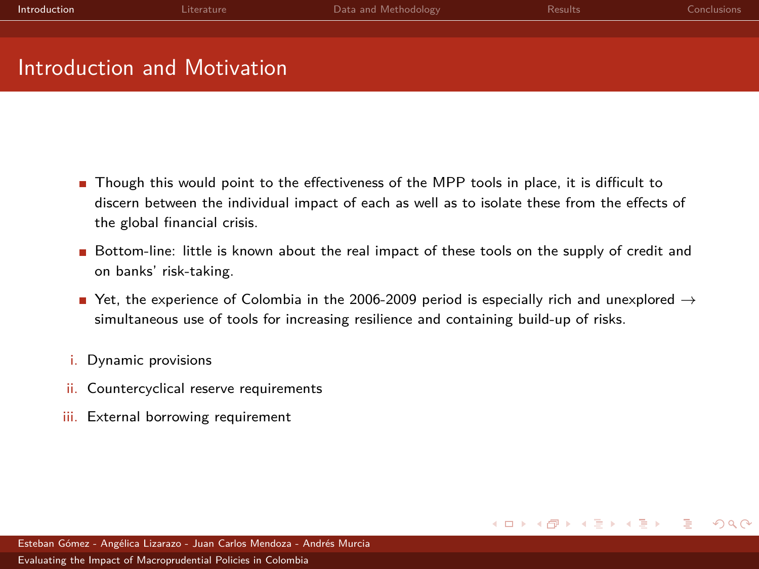| Introduction                | Literature | Data and Methodology | <b>Results</b> | <b>Conclusions</b> |
|-----------------------------|------------|----------------------|----------------|--------------------|
|                             |            |                      |                |                    |
|                             |            |                      |                |                    |
| Introduction and Motivation |            |                      |                |                    |

- Though this would point to the effectiveness of the MPP tools in place, it is difficult to discern between the individual impact of each as well as to isolate these from the effects of the global financial crisis.
- Bottom-line: little is known about the real impact of these tools on the supply of credit and on banks' risk-taking.
- Yet, the experience of Colombia in the 2006-2009 period is especially rich and unexplored  $\rightarrow$ simultaneous use of tools for increasing resilience and containing build-up of risks.
- i. Dynamic provisions
- ii. Countercyclical reserve requirements
- iii. External borrowing requirement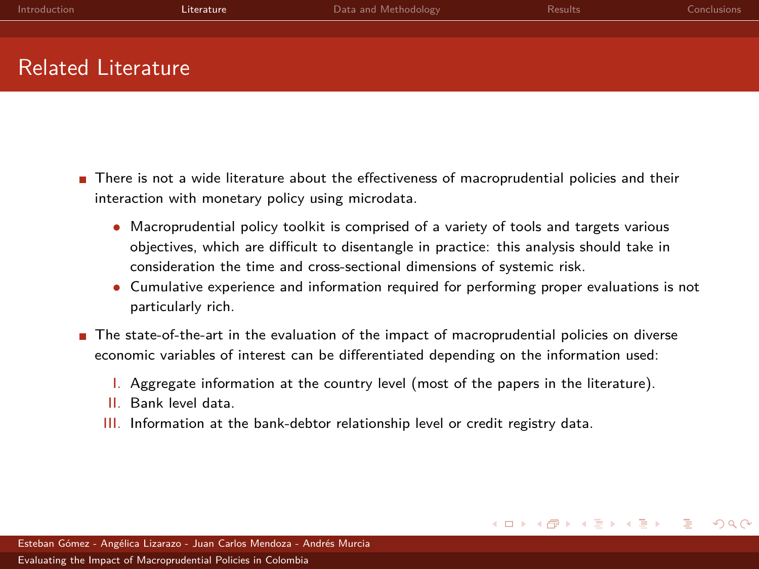<span id="page-4-0"></span>

| Introduction         | Literature | Data and Methodology | <b>Results</b> | <b>Conclusions</b> |
|----------------------|------------|----------------------|----------------|--------------------|
|                      |            |                      |                |                    |
|                      |            |                      |                |                    |
| Related Literature ' |            |                      |                |                    |

- There is not a wide literature about the effectiveness of macroprudential policies and their interaction with monetary policy using microdata.
	- Macroprudential policy toolkit is comprised of a variety of tools and targets various objectives, which are difficult to disentangle in practice: this analysis should take in consideration the time and cross-sectional dimensions of systemic risk.
	- Cumulative experience and information required for performing proper evaluations is not particularly rich.
- The state-of-the-art in the evaluation of the impact of macroprudential policies on diverse economic variables of interest can be differentiated depending on the information used:
	- I. Aggregate information at the country level (most of the papers in the literature).
	- II. Bank level data.
	- III. Information at the bank-debtor relationship level or credit registry data.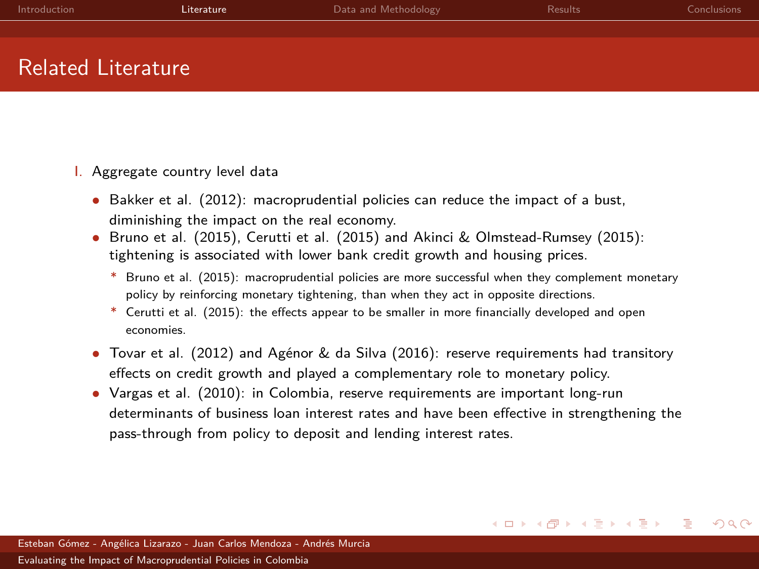| Introduction       | Literature | Data and Methodology | <b>Results</b> | <b>Conclusions</b> |
|--------------------|------------|----------------------|----------------|--------------------|
|                    |            |                      |                |                    |
|                    |            |                      |                |                    |
| Related Literature |            |                      |                |                    |

### I. Aggregate country level data

- Bakker et al. (2012): macroprudential policies can reduce the impact of a bust, diminishing the impact on the real economy.
- Bruno et al. (2015), Cerutti et al. (2015) and Akinci & Olmstead-Rumsey (2015): tightening is associated with lower bank credit growth and housing prices.
	- \* Bruno et al. (2015): macroprudential policies are more successful when they complement monetary policy by reinforcing monetary tightening, than when they act in opposite directions.
	- \* Cerutti et al. (2015): the effects appear to be smaller in more financially developed and open economies.
- Tovar et al. (2012) and Agénor & da Silva (2016): reserve requirements had transitory effects on credit growth and played a complementary role to monetary policy.
- Vargas et al. (2010): in Colombia, reserve requirements are important long-run determinants of business loan interest rates and have been effective in strengthening the pass-through from policy to deposit and lending interest rates.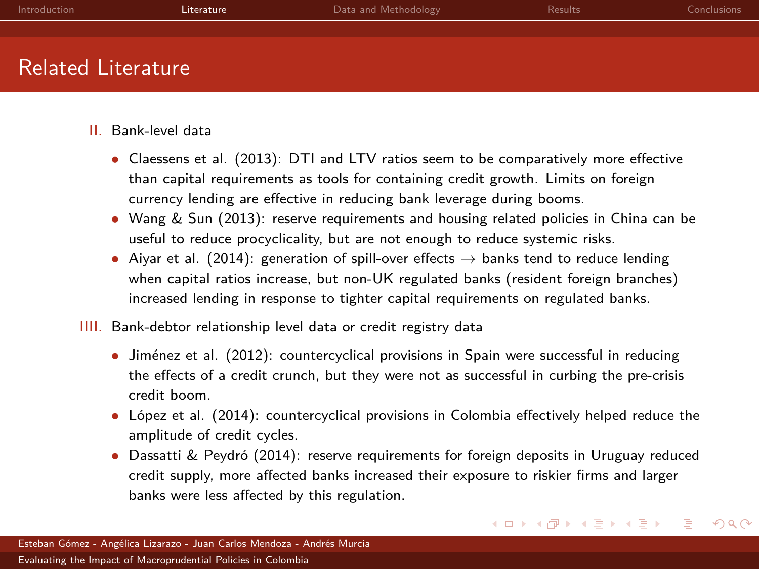| Introduction              | Literature | Data and Methodology | <b>Results</b> | Conclusions |
|---------------------------|------------|----------------------|----------------|-------------|
|                           |            |                      |                |             |
| <b>Related Literature</b> |            |                      |                |             |

- II. Bank-level data
	- Claessens et al. (2013): DTI and LTV ratios seem to be comparatively more effective than capital requirements as tools for containing credit growth. Limits on foreign currency lending are effective in reducing bank leverage during booms.
	- Wang & Sun (2013): reserve requirements and housing related policies in China can be useful to reduce procyclicality, but are not enough to reduce systemic risks.
	- Aiyar et al. (2014): generation of spill-over effects  $\rightarrow$  banks tend to reduce lending when capital ratios increase, but non-UK regulated banks (resident foreign branches) increased lending in response to tighter capital requirements on regulated banks.
- IIII. Bank-debtor relationship level data or credit registry data
	- Jiménez et al. (2012): countercyclical provisions in Spain were successful in reducing the effects of a credit crunch, but they were not as successful in curbing the pre-crisis credit boom.
	- López et al. (2014): countercyclical provisions in Colombia effectively helped reduce the amplitude of credit cycles.
	- Dassatti & Peydró (2014): reserve requirements for foreign deposits in Uruguay reduced credit supply, more affected banks increased their exposure to riskier firms and larger banks were less affected by this regulation.

 $\Omega$ 

イロト イ母ト イヨト イヨト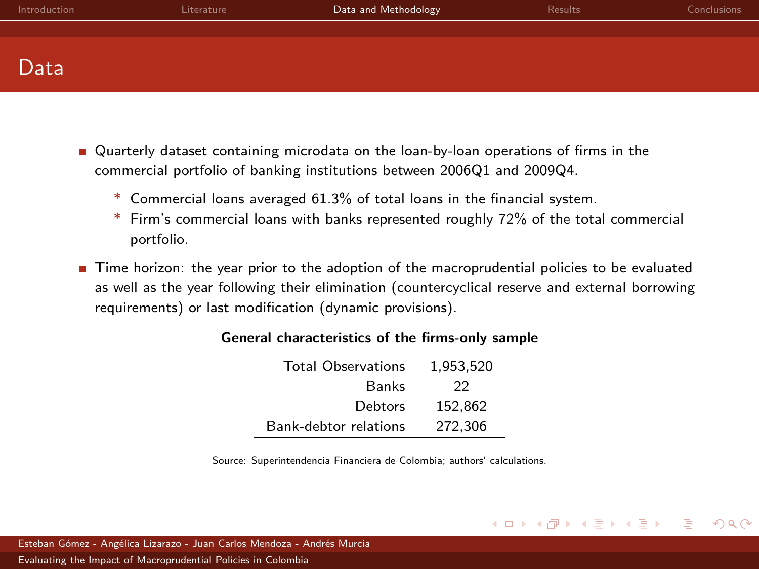<span id="page-7-0"></span>

| Introduction | Literature | Data and Methodology | Results | <b>Conclusions</b> |
|--------------|------------|----------------------|---------|--------------------|
|              |            |                      |         |                    |
|              |            |                      |         |                    |
| Data         |            |                      |         |                    |

- Quarterly dataset containing microdata on the loan-by-loan operations of firms in the commercial portfolio of banking institutions between 2006Q1 and 2009Q4.
	- \* Commercial loans averaged 61.3% of total loans in the financial system.
	- \* Firm's commercial loans with banks represented roughly 72% of the total commercial portfolio.
- Time horizon: the year prior to the adoption of the macroprudential policies to be evaluated as well as the year following their elimination (countercyclical reserve and external borrowing requirements) or last modification (dynamic provisions).

| <b>Total Observations</b> | 1.953.520 |
|---------------------------|-----------|
| <b>Banks</b>              | つつ        |
| Debtors                   | 152.862   |
| Bank-debtor relations     | 272.306   |

#### **General characteristics of the firms-only sample**

Source: Superintendencia Financiera de Colombia; authors' calculations.

イロト イ押ト イミト イミト

 $QQ$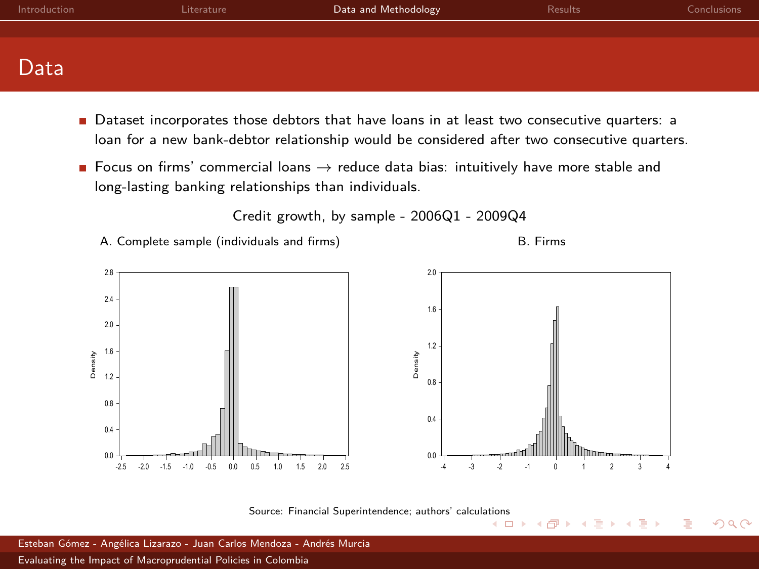| Introduction | Literature | Data and Methodology | <b>Results</b> | Conclusions |
|--------------|------------|----------------------|----------------|-------------|
|              |            |                      |                |             |
|              |            |                      |                |             |
| Data         |            |                      |                |             |

- Dataset incorporates those debtors that have loans in at least two consecutive quarters: a loan for a new bank-debtor relationship would be considered after two consecutive quarters.
- Focus on firms' commercial loans  $\rightarrow$  reduce data bias: intuitively have more stable and long-lasting banking relationships than individuals.

Credit growth, by sample - 2006Q1 - 2009Q4

A. Complete sample (individuals and firms) S. Firms

4 0 8

ৰ লী

 $QQ$ 



Source: Financial Superintendence; authors' calcul[ation](#page-7-0)s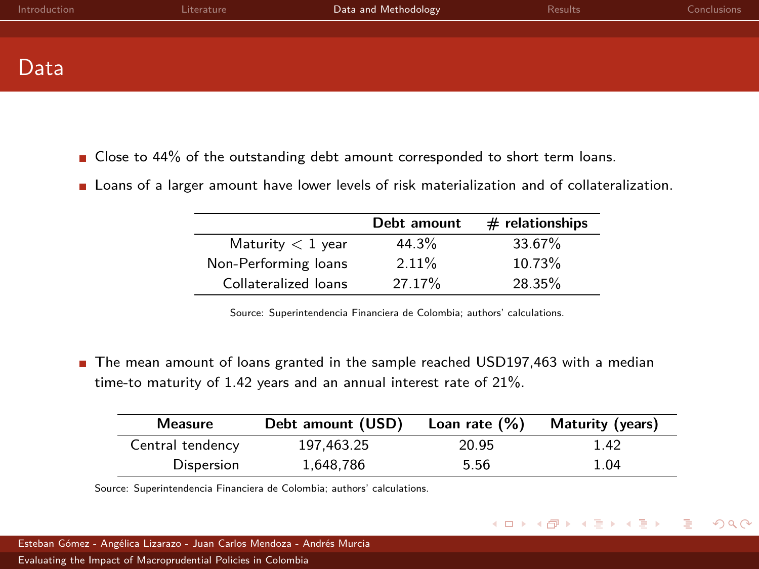| Introduction | Literature | Data and Methodology | Results | <b>Conclusions</b> |
|--------------|------------|----------------------|---------|--------------------|
|              |            |                      |         |                    |
|              |            |                      |         |                    |
| Data         |            |                      |         |                    |

- Close to 44% of the outstanding debt amount corresponded to short term loans.
- Loans of a larger amount have lower levels of risk materialization and of collateralization.

|                      | Debt amount | $#$ relationships |
|----------------------|-------------|-------------------|
| Maturity $< 1$ year  | 44.3%       | 33.67%            |
| Non-Performing loans | 2.11%       | 10.73%            |
| Collateralized loans | 27.17%      | 28.35%            |

Source: Superintendencia Financiera de Colombia; authors' calculations.

The mean amount of loans granted in the sample reached USD197,463 with a median time-to maturity of 1.42 years and an annual interest rate of 21%.

| Measure          | Debt amount (USD) | Loan rate $(\%)$ | Maturity (years) |
|------------------|-------------------|------------------|------------------|
| Central tendency | 197.463.25        | 20.95            | 1.42             |
| Dispersion       | 1.648.786         | 5.56             | 1.04             |

イロト イ母 トイラト イラト

 $QQ$ 

Source: Superintendencia Financiera de Colombia; authors' calculations.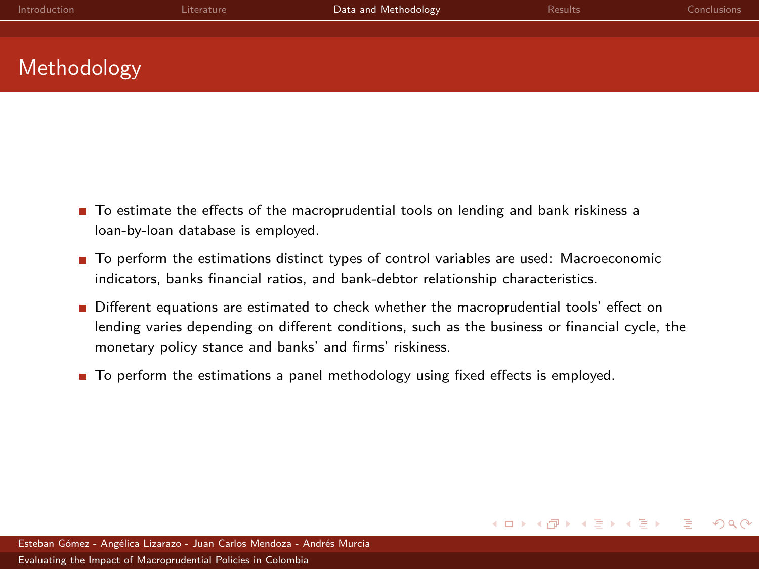| Introduction | Literature | Data and Methodology | <b>Results</b> | Conclusions |
|--------------|------------|----------------------|----------------|-------------|
|              |            |                      |                |             |
|              |            |                      |                |             |
| Methodology  |            |                      |                |             |

- To estimate the effects of the macroprudential tools on lending and bank riskiness a loan-by-loan database is employed.
- To perform the estimations distinct types of control variables are used: Macroeconomic indicators, banks financial ratios, and bank-debtor relationship characteristics.
- Different equations are estimated to check whether the macroprudential tools' effect on lending varies depending on different conditions, such as the business or financial cycle, the monetary policy stance and banks' and firms' riskiness.
- To perform the estimations a panel methodology using fixed effects is employed.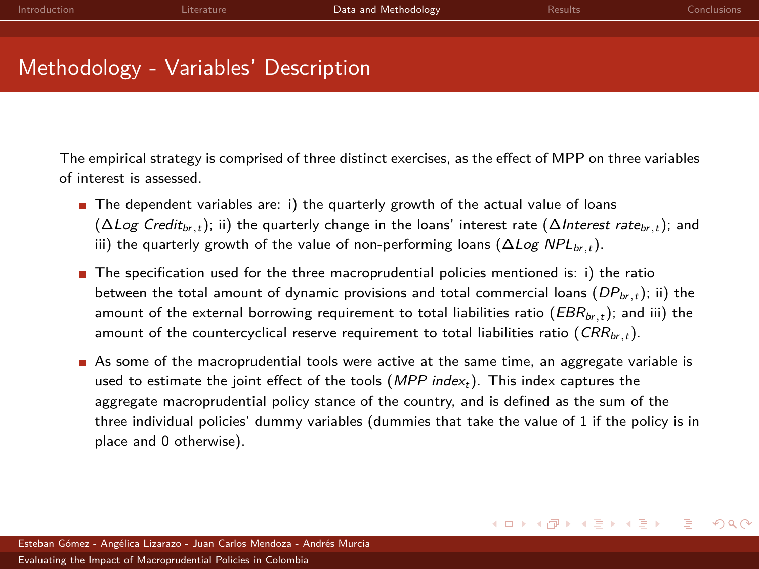| Introduction | Literature                           | Data and Methodology | <b>Results</b> | Conclusions |
|--------------|--------------------------------------|----------------------|----------------|-------------|
|              |                                      |                      |                |             |
|              |                                      |                      |                |             |
|              | Methodology - Variables' Description |                      |                |             |

The empirical strategy is comprised of three distinct exercises, as the effect of MPP on three variables of interest is assessed.

- $\blacksquare$  The dependent variables are: i) the quarterly growth of the actual value of loans (∆Log Credit<sub>br,t</sub>); ii) the quarterly change in the loans' interest rate (∆Interest rate<sub>br,t</sub>); and iii) the quarterly growth of the value of non-performing loans ( $\Delta Log NPL_{br,t}$ ).
- $\blacksquare$  The specification used for the three macroprudential policies mentioned is: i) the ratio between the total amount of dynamic provisions and total commercial loans  $(DP_{br, t})$ ; ii) the amount of the external borrowing requirement to total liabilities ratio ( $EBR_{br,t}$ ); and iii) the amount of the countercyclical reserve requirement to total liabilities ratio  $(CRR<sub>br.t</sub>)$ .
- As some of the macroprudential tools were active at the same time, an aggregate variable is used to estimate the joint effect of the tools  $(MPP \text{ index}_{t})$ . This index captures the aggregate macroprudential policy stance of the country, and is defined as the sum of the three individual policies' dummy variables (dummies that take the value of 1 if the policy is in place and 0 otherwise).

イロト イ押ト イミト イミト

 $QQ$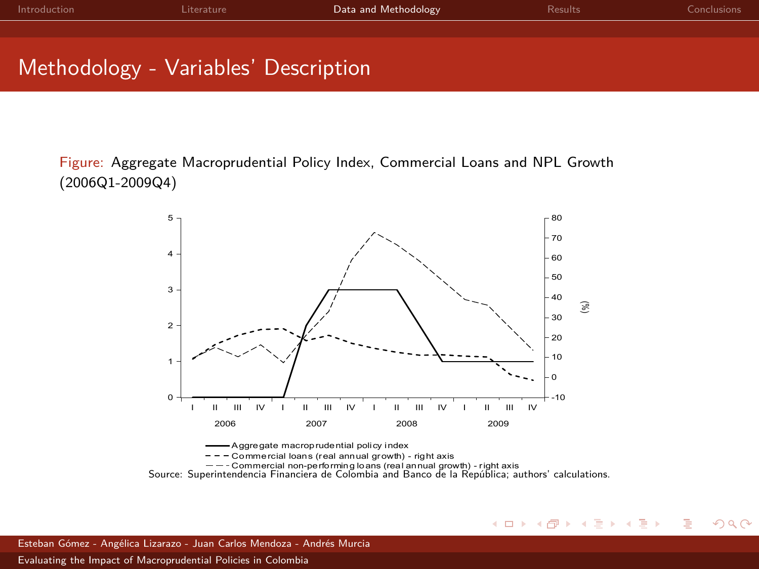| Introduction                         | Literature | Data and Methodology | <b>Results</b> | Conclusions |
|--------------------------------------|------------|----------------------|----------------|-------------|
|                                      |            |                      |                |             |
| Methodology - Variables' Description |            |                      |                |             |

Figure: Aggregate Macroprudential Policy Index, Commercial Loans and NPL Growth (2006Q1-2009Q4)





Esteban Gómez - Angélica Lizarazo - Juan Carlos Mendoza - Andrés Murcia [Evaluating the Impact of Macroprudential Policies in Colombia](#page-0-0)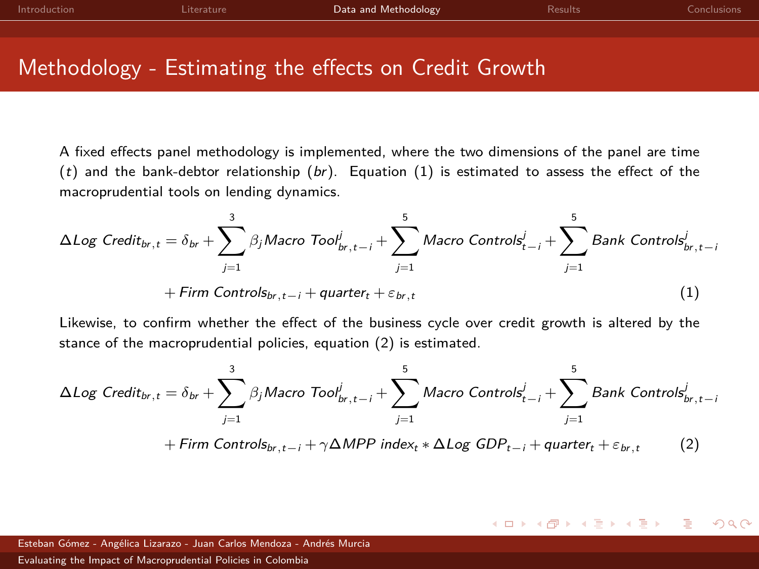| Introduction | l iterature | Data and Methodology                                  | <b>Results</b> | <b>Conclusions</b> |
|--------------|-------------|-------------------------------------------------------|----------------|--------------------|
|              |             |                                                       |                |                    |
|              |             |                                                       |                |                    |
|              |             | Methodology - Estimating the effects on Credit Growth |                |                    |

A fixed effects panel methodology is implemented, where the two dimensions of the panel are time  $(t)$  and the bank-debtor relationship  $(br)$ . Equation  $(1)$  is estimated to assess the effect of the macroprudential tools on lending dynamics.

<span id="page-13-0"></span>
$$
\Delta Log \text{ Credit}_{br,t} = \delta_{br} + \sum_{j=1}^{3} \beta_j \text{Macro Tool}_{br,t-i}^j + \sum_{j=1}^{5} \text{Macro Controls}_{t-i}^j + \sum_{j=1}^{5} \text{Bank Controls}_{br,t-i}^j
$$

$$
+ \text{Firm Controls}_{br,t-i} + \text{quarter}_{t} + \varepsilon_{br,t} \tag{1}
$$

Likewise, to confirm whether the effect of the business cycle over credit growth is altered by the stance of the macroprudential policies, equation [\(2\)](#page-13-1) is estimated.

<span id="page-13-1"></span>
$$
\Delta Log \text{ Credit}_{br,t} = \delta_{br} + \sum_{j=1}^{3} \beta_j \text{Macco Tool}_{br,t-i}^j + \sum_{j=1}^{5} \text{Macco Controls}_{t-i}^j + \sum_{j=1}^{5} \text{Bank Controls}_{br,t-i}^j
$$

$$
+ \text{Firm \text{Controls}_{br,t-i} + \gamma \Delta MPP \text{ index}_{t} * \Delta Log \text{ GDP}_{t-i} + \text{quarter}_{t} + \varepsilon_{br,t} \tag{2}
$$

 $QQ$ イロト イ母 トイヨ トイヨト

Esteban Gómez - Angélica Lizarazo - Juan Carlos Mendoza - Andrés Murcia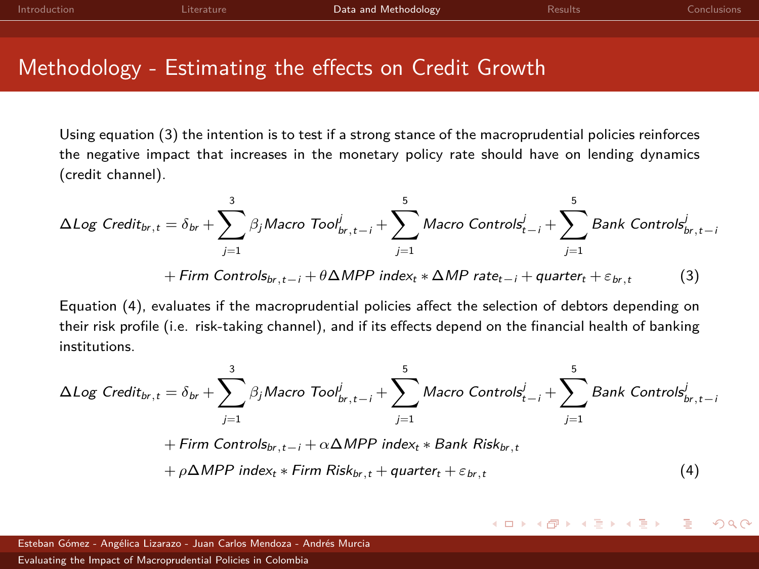| Introduction | Literature | Data and Methodology                                  | <b>Results</b> | <b>Conclusions</b> |
|--------------|------------|-------------------------------------------------------|----------------|--------------------|
|              |            |                                                       |                |                    |
|              |            |                                                       |                |                    |
|              |            | Methodology - Estimating the effects on Credit Growth |                |                    |

Using equation [\(3\)](#page-14-0) the intention is to test if a strong stance of the macroprudential policies reinforces the negative impact that increases in the monetary policy rate should have on lending dynamics (credit channel).

<span id="page-14-0"></span>
$$
\Delta Log \text{ Credit}_{br,t} = \delta_{br} + \sum_{j=1}^{3} \beta_j \text{Macco Tool}_{br,t-i}^j + \sum_{j=1}^{5} \text{Macco Controls}_{t-j}^j + \sum_{j=1}^{5} \text{Bank Controls}_{br,t-i}^j
$$

$$
+ \text{Firm Controls}_{br,t-i} + \theta \Delta MPP \text{ index}_{t} * \Delta MP \text{ rate}_{t-i} + \text{quarter}_{t} + \varepsilon_{br,t} \tag{3}
$$

Equation [\(4\)](#page-14-1), evaluates if the macroprudential policies affect the selection of debtors depending on their risk profile (i.e. risk-taking channel), and if its effects depend on the financial health of banking institutions.

<span id="page-14-1"></span>
$$
\Delta Log \text{ Credit}_{br,t} = \delta_{br} + \sum_{j=1}^{3} \beta_j \text{Macro Tool}_{br,t-j}^j + \sum_{j=1}^{5} \text{Macro Controls}_{t-j}^j + \sum_{j=1}^{5} \text{Bank Controls}_{br,t-j}^j
$$
\n
$$
+ \text{Firm Controls}_{br,t-j} + \alpha \Delta MPP \text{ index}_{t} * \text{Bank Risk}_{br,t} + \rho \Delta MPP \text{ index}_{t} * \text{Firm Risk}_{br,t} + \text{quarter}_{t} + \varepsilon_{br,t} \tag{4}
$$

#### イロト イ母 トイラト イラト  $QQ$

Esteban Gómez - Angélica Lizarazo - Juan Carlos Mendoza - Andrés Murcia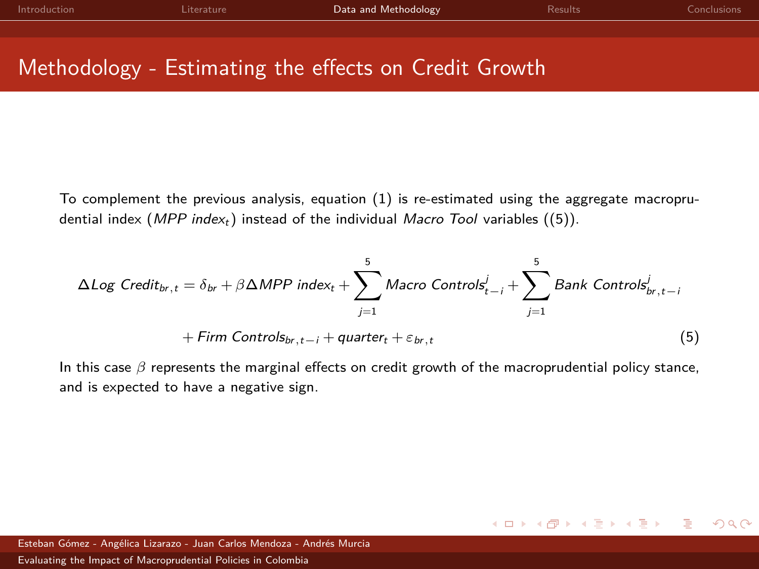| Introduction | l iterature. | Data and Methodology                                  | <b>Results</b> | <b>Conclusions</b> |
|--------------|--------------|-------------------------------------------------------|----------------|--------------------|
|              |              |                                                       |                |                    |
|              |              |                                                       |                |                    |
|              |              | Methodology - Estimating the effects on Credit Growth |                |                    |

To complement the previous analysis, equation [\(1\)](#page-13-0) is re-estimated using the aggregate macroprudential index (*MPP index<sub>t</sub>*) instead of the individual *Macro Tool* variables ([\(5\)](#page-15-0)).

<span id="page-15-0"></span>
$$
\Delta Log \, Credit_{br,t} = \delta_{br} + \beta \Delta MPP \, index_{t} + \sum_{j=1}^{5} \, Macc \, Controls_{t-i}^{j} + \sum_{j=1}^{5} Bank \, Controls_{br,t-i}^{j} + \text{Firm \, Controls}_{br,t-i} + \text{quater}_{t} + \varepsilon_{br,t} \tag{5}
$$

In this case *β* represents the marginal effects on credit growth of the macroprudential policy stance, and is expected to have a negative sign.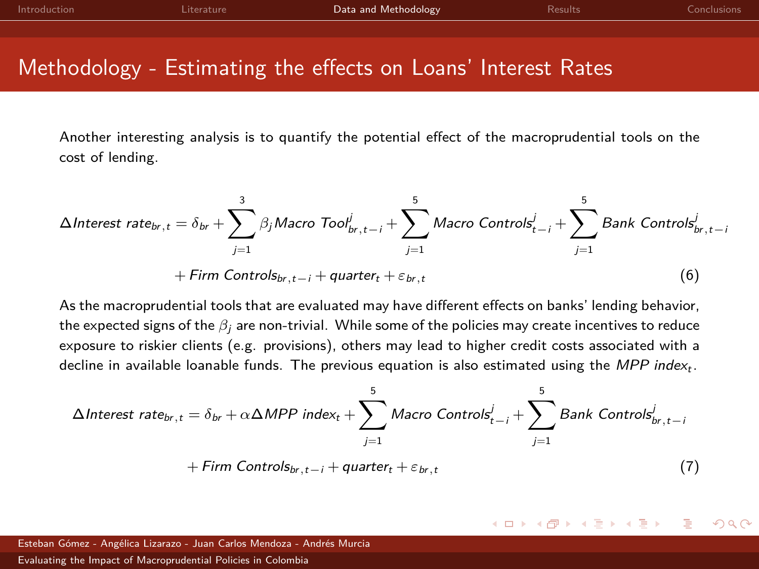| Introduction | Literature | Data and Methodology | Results | Conclusions |
|--------------|------------|----------------------|---------|-------------|
|              |            |                      |         |             |
|              |            |                      |         |             |

## Methodology - Estimating the effects on Loans' Interest Rates

Another interesting analysis is to quantify the potential effect of the macroprudential tools on the cost of lending.

$$
\Delta \text{Interest rate}_{br,t} = \delta_{br} + \sum_{j=1}^{3} \beta_j \text{Macco Tool}_{br,t-i}^j + \sum_{j=1}^{5} \text{Macco Controls}_{t-i}^j + \sum_{j=1}^{5} \text{Bank Controls}_{br,t-i}^j
$$

$$
+ \text{Firm Controls}_{br,t-i} + \text{quarter}_{t} + \varepsilon_{br,t} \tag{6}
$$

As the macroprudential tools that are evaluated may have different effects on banks' lending behavior, the expected signs of the *β*<sub>j</sub> are non-trivial. While some of the policies may create incentives to reduce exposure to riskier clients (e.g. provisions), others may lead to higher credit costs associated with a decline in available loanable funds. The previous equation is also estimated using the  $MPP$  index<sub>t</sub>.

$$
\Delta Interest\ rate_{br,t} = \delta_{br} + \alpha \Delta MPP\ index_{t} + \sum_{j=1}^{5} Macc\t\t\tControls_{t-j}^{j} + \sum_{j=1}^{5} Bank\ \text{Controls}_{br,t-j}^{j}
$$

$$
+ Firm\ \text{Controls}_{br,t-j} + quarter_{t} + \varepsilon_{br,t} \tag{7}
$$

#### $QQ$ イロト イ母ト イヨト イヨト

Esteban Gómez - Angélica Lizarazo - Juan Carlos Mendoza - Andrés Murcia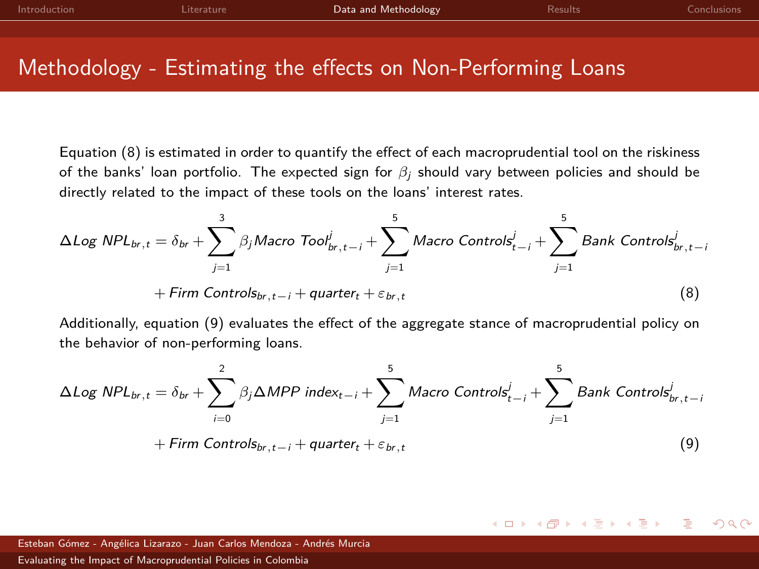<span id="page-17-2"></span>

| Introduction | Literature | Data and Methodology | Results | Conclusions |
|--------------|------------|----------------------|---------|-------------|
|              |            |                      |         |             |
|              |            |                      |         |             |

## Methodology - Estimating the effects on Non-Performing Loans

Equation [\(8\)](#page-17-0) is estimated in order to quantify the effect of each macroprudential tool on the riskiness of the banks' loan portfolio. The expected sign for *β*<sup>j</sup> should vary between policies and should be directly related to the impact of these tools on the loans' interest rates.

<span id="page-17-0"></span>
$$
\Delta Log \; NPL_{br,t} = \delta_{br} + \sum_{j=1}^{3} \beta_j Macco \; Tool_{br,t-i}^j + \sum_{j=1}^{5} Macco \; Controls_{t-i}^j + \sum_{j=1}^{5} Bank \; Controls_{br,t-i}^j
$$

$$
+ Firm \; Controls_{br,t-i} + quarter_t + \varepsilon_{br,t} \tag{8}
$$

Additionally, equation [\(9\)](#page-17-1) evaluates the effect of the aggregate stance of macroprudential policy on the behavior of non-performing loans.

<span id="page-17-1"></span>
$$
\Delta Log \; NPL_{br,t} = \delta_{br} + \sum_{i=0}^{2} \beta_j \Delta MPP \; index_{t-i} + \sum_{j=1}^{5} \text{Macco Controls}_{t-i}^{j} + \sum_{j=1}^{5} \text{Bank Controls}_{br,t-i}^{j}
$$

$$
+ Firm \; Controls_{br,t-i} + quarter_t + \varepsilon_{br,t} \tag{9}
$$

 $QQ$ 

イロト イ母ト イヨト イヨト

Esteban Gómez - Angélica Lizarazo - Juan Carlos Mendoza - Andrés Murcia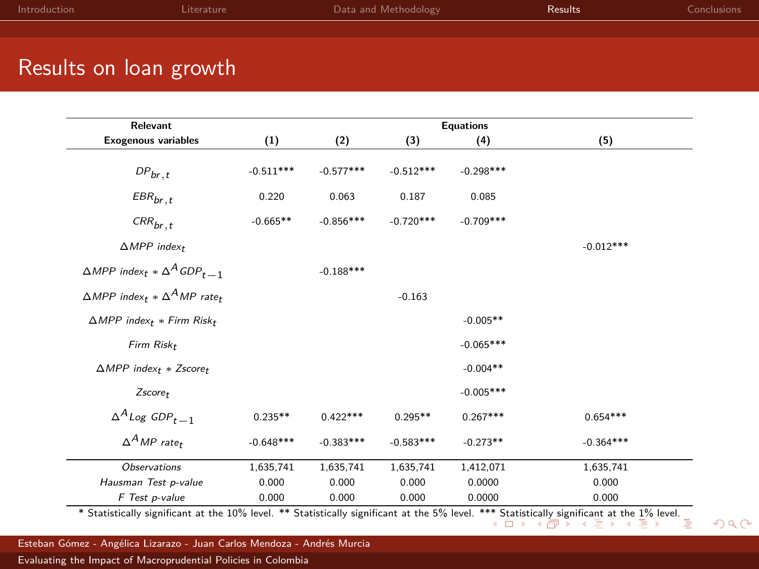<span id="page-18-0"></span>

| Introduction           | <b>Literature</b> | Data and Methodology | <b>Results</b> | <b>Conclusions</b> |
|------------------------|-------------------|----------------------|----------------|--------------------|
|                        |                   |                      |                |                    |
|                        |                   |                      |                |                    |
| Results on loan growth |                   |                      |                |                    |

| Relevant                                                               |             |             |             | <b>Equations</b> |             |
|------------------------------------------------------------------------|-------------|-------------|-------------|------------------|-------------|
| <b>Exogenous variables</b>                                             | (1)         | (2)         | (3)         | (4)              | (5)         |
| ${\it DP}_{br, t}$                                                     | $-0.511***$ | $-0.577***$ | $-0.512***$ | $-0.298***$      |             |
| $\textit{EBR}_{br,\,t}$                                                | 0.220       | 0.063       | 0.187       | 0.085            |             |
| $\mathit{CRR}_{br, t}$                                                 | $-0.665**$  | $-0.856***$ | $-0.720***$ | $-0.709***$      |             |
| $\triangle MPP$ index <sub>t</sub>                                     |             |             |             |                  | $-0.012***$ |
| $\triangle MPP$ index <sub>t</sub> $*\triangle ^{A} GDP_{t-1}$         |             | $-0.188***$ |             |                  |             |
| $\triangle MPP$ index <sub>t</sub> $*\triangle^A MP$ rate <sub>t</sub> |             |             | $-0.163$    |                  |             |
| $\triangle MPP$ index <sub>t</sub> * Firm Risk <sub>t</sub>            |             |             |             | $-0.005**$       |             |
| Firm Risk <sub>t</sub>                                                 |             |             |             | $-0.065***$      |             |
| $\triangle MPP$ index <sub>t</sub> * Zscore <sub>t</sub>               |             |             |             | $-0.004**$       |             |
| $Zscore_t$                                                             |             |             |             | $-0.005***$      |             |
| $\Delta^A$ Log GDP <sub>t-1</sub>                                      | $0.235**$   | $0.422***$  | $0.295**$   | $0.267***$       | $0.654***$  |
| $\Delta^A MP$ rate <sub>t</sub>                                        | $-0.648***$ | $-0.383***$ | $-0.583***$ | $-0.273**$       | $-0.364***$ |
|                                                                        |             |             |             |                  |             |

F Test p-value 0.000 0.000 0.000 0.0000 0.000 \* Statistically significant at the 10% level. [\\*\\* S](#page-17-2)t[atisti](#page-19-0)[cal](#page-17-2)[ly si](#page-18-0)[gni](#page-19-0)[fic](#page-17-2)[an](#page-18-0)[t](#page-20-0) [at](#page-21-0) [th](#page-17-2)e 5% level. \*\*\* Statistically significant at th[e 1](#page-18-0)[%](#page-20-0) [le](#page-21-0)[vel.](#page-0-0)<br>  $\Box \rightarrow \Box \rightarrow \Box \rightarrow \Box \rightarrow \Box \rightarrow \Box \rightarrow \Box$ 

 $2Q$ 

Observations 1,635,741 1,635,741 1,635,741 1,412,071 1,635,741 Hausman Test p-value 0.000 0.000 0.000 0.0000 0.000

Esteban Gómez - Angélica Lizarazo - Juan Carlos Mendoza - Andrés Murcia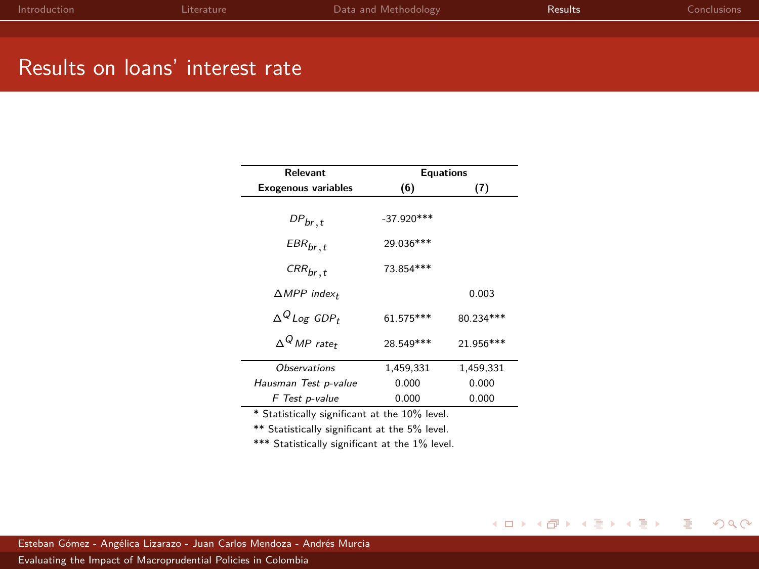<span id="page-19-0"></span>

| Introduction                      | Literature                                          | Data and Methodology | Results | Conclusions |
|-----------------------------------|-----------------------------------------------------|----------------------|---------|-------------|
|                                   |                                                     |                      |         |             |
|                                   |                                                     |                      |         |             |
| the company's company's company's | <b>Contract Contract Contract Contract Contract</b> |                      |         |             |

### Results on loans' interest rate

| Relevant                           | <b>Equations</b> |            |  |
|------------------------------------|------------------|------------|--|
| <b>Exogenous variables</b>         | (6)              | (7)        |  |
| $DP_{br, t}$                       | $-37.920***$     |            |  |
| $EBR_{br, t}$                      | 29.036***        |            |  |
| $CRR_{br, t}$                      | 73.854 ***       |            |  |
| $\triangle MPP$ index <sub>t</sub> |                  | 0.003      |  |
| $\Delta^Q$ Log GDP+                | 61.575***        | 80.234 *** |  |
| $\Delta^Q$ MP rate+                | 28.549***        | 21.956***  |  |
| <b>Observations</b>                | 1,459,331        | 1,459,331  |  |
| Hausman Test p-value               | 0.000            | 0.000      |  |
| F Test p-value                     | 0.000            | 0.000      |  |

\*\* Statistically significant at the 5% level.

\*\*\* Statistically significant at the 1% level.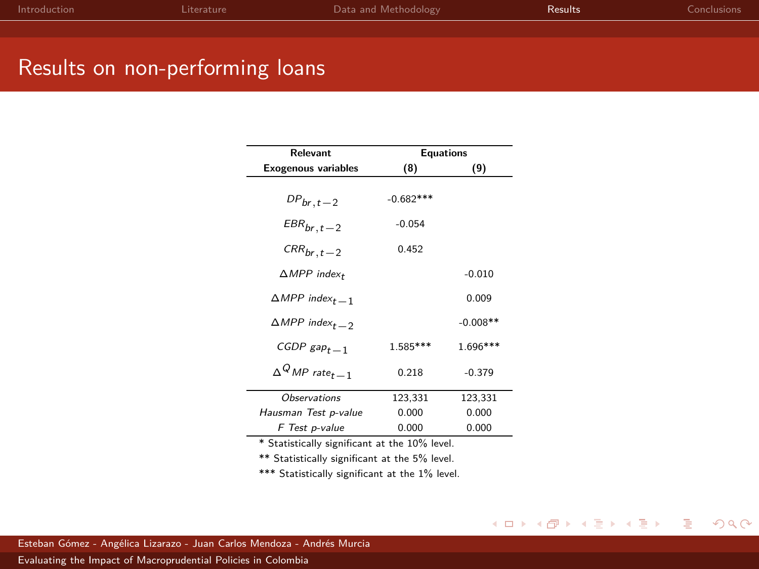<span id="page-20-0"></span>

| Introduction | Literature | Data and Methodology | <b>Results</b> | Conclusions |
|--------------|------------|----------------------|----------------|-------------|
|              |            |                      |                |             |
|              |            |                      |                |             |

## Results on non-performing loans

| <b>Relevant</b>                       | <b>Equations</b> |            |  |
|---------------------------------------|------------------|------------|--|
| <b>Exogenous variables</b>            | (8)              | (9)        |  |
| $DP_{br, t-2}$                        | $-0.682***$      |            |  |
| $EBR_{br,t-2}$                        | $-0.054$         |            |  |
| $CRR_{br, t-2}$                       | 0.452            |            |  |
| $\triangle MPP$ index <sub>t</sub>    |                  | $-0.010$   |  |
| $\triangle MPP$ index <sub>t -1</sub> |                  | 0.009      |  |
| $\triangle MPP$ index <sub>t -2</sub> |                  | $-0.008**$ |  |
| CGDP $\text{gap}_{t-1}$               | 1.585***         | $1.696***$ |  |
| $\Delta^Q MP$ rate <sub>t</sub> - 1   | 0.218            | $-0.379$   |  |
| <b>Observations</b>                   | 123,331          | 123,331    |  |
| Hausman Test p-value                  | 0.000            | 0.000      |  |
| F Test p-value                        | 0.000            | 0.000      |  |

\*\* Statistically significant at the 5% level.

\*\*\* Statistically significant at the 1% level.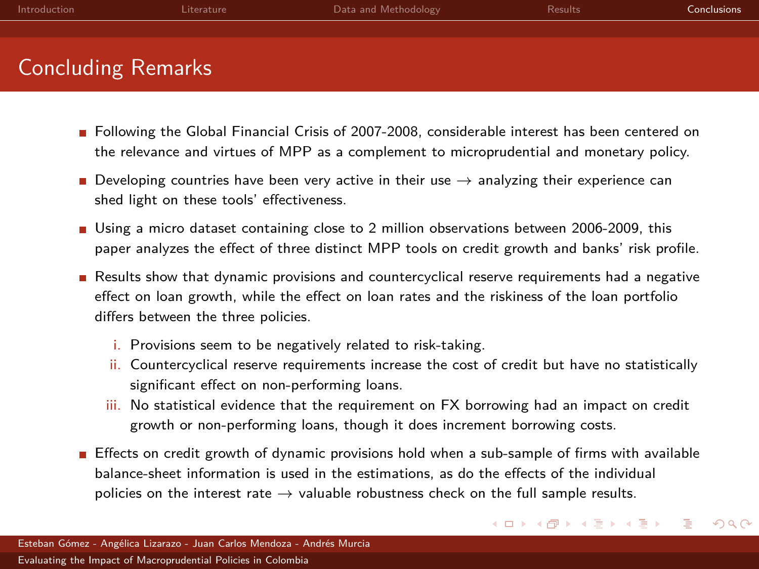<span id="page-21-0"></span>

| Introduction              | Literature | Data and Methodology | <b>Results</b> | <b>Conclusions</b> |
|---------------------------|------------|----------------------|----------------|--------------------|
|                           |            |                      |                |                    |
| <b>Concluding Remarks</b> |            |                      |                |                    |

- **Following the Global Financial Crisis of 2007-2008, considerable interest has been centered on** the relevance and virtues of MPP as a complement to microprudential and monetary policy.
- Developing countries have been very active in their use  $\rightarrow$  analyzing their experience can shed light on these tools' effectiveness.
- Using a micro dataset containing close to 2 million observations between 2006-2009, this paper analyzes the effect of three distinct MPP tools on credit growth and banks' risk profile.
- Results show that dynamic provisions and countercyclical reserve requirements had a negative effect on loan growth, while the effect on loan rates and the riskiness of the loan portfolio differs between the three policies.
	- i. Provisions seem to be negatively related to risk-taking.
	- ii. Countercyclical reserve requirements increase the cost of credit but have no statistically significant effect on non-performing loans.
	- iii. No statistical evidence that the requirement on FX borrowing had an impact on credit growth or non-performing loans, though it does increment borrowing costs.
- **Effects on credit growth of dynamic provisions hold when a sub-sample of firms with available** balance-sheet information is used in the estimations, as do the effects of the individual policies on the interest rate  $\rightarrow$  valuable robustness check on the full sample results.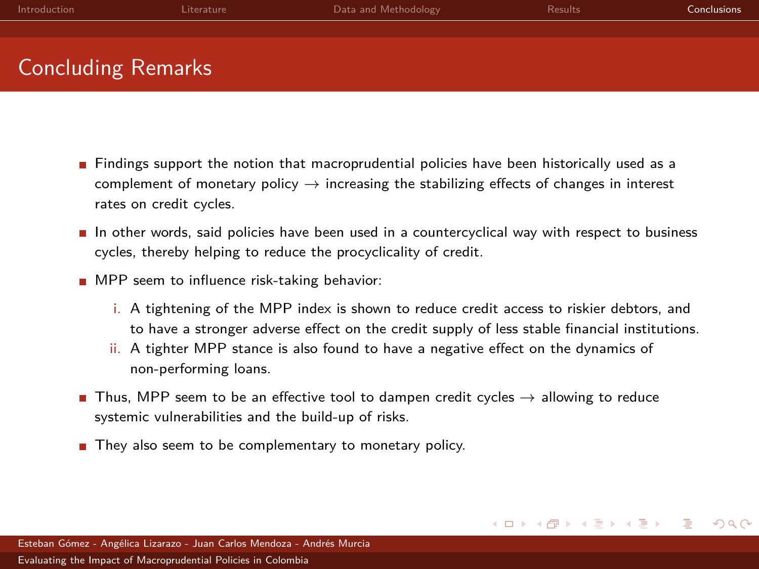| Introduction              | Literature | Data and Methodology | <b>Results</b> | <b>Conclusions</b> |
|---------------------------|------------|----------------------|----------------|--------------------|
|                           |            |                      |                |                    |
| <b>Concluding Remarks</b> |            |                      |                |                    |

- $\blacksquare$  Findings support the notion that macroprudential policies have been historically used as a complement of monetary policy  $\rightarrow$  increasing the stabilizing effects of changes in interest rates on credit cycles.
- $\blacksquare$  In other words, said policies have been used in a countercyclical way with respect to business cycles, thereby helping to reduce the procyclicality of credit.
- **MPP** seem to influence risk-taking behavior:
	- i. A tightening of the MPP index is shown to reduce credit access to riskier debtors, and to have a stronger adverse effect on the credit supply of less stable financial institutions.

 $QQ$ 

イロト イ母ト イヨト イヨト

- ii. A tighter MPP stance is also found to have a negative effect on the dynamics of non-performing loans.
- Thus, MPP seem to be an effective tool to dampen credit cycles  $\rightarrow$  allowing to reduce systemic vulnerabilities and the build-up of risks.
- They also seem to be complementary to monetary policy.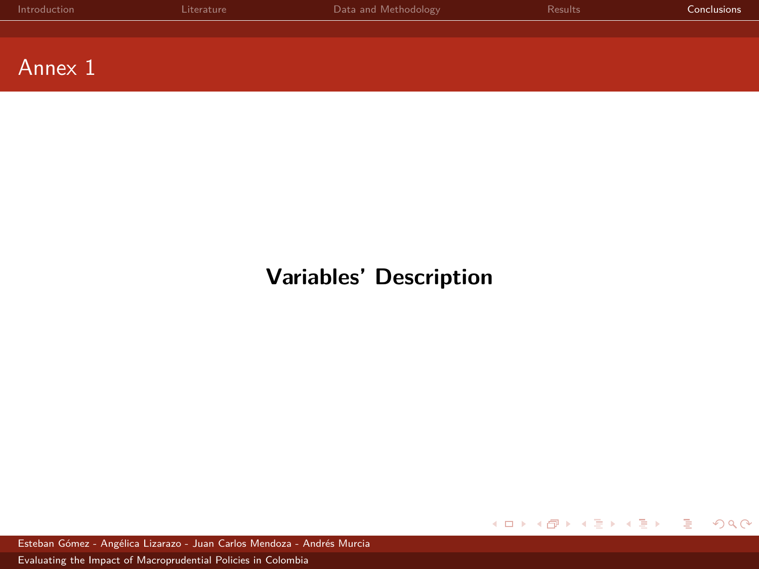| Introduction | Literature | Data and Methodology | Results | <b>Conclusions</b> |
|--------------|------------|----------------------|---------|--------------------|
|              |            |                      |         |                    |
|              |            |                      |         |                    |
| Annex 1      |            |                      |         |                    |

# **Variables' Description**

メロトメ 御 トメ ミトメ ミトー ă  $2QQ$ 

Esteban Gómez - Angélica Lizarazo - Juan Carlos Mendoza - Andrés Murcia [Evaluating the Impact of Macroprudential Policies in Colombia](#page-0-0)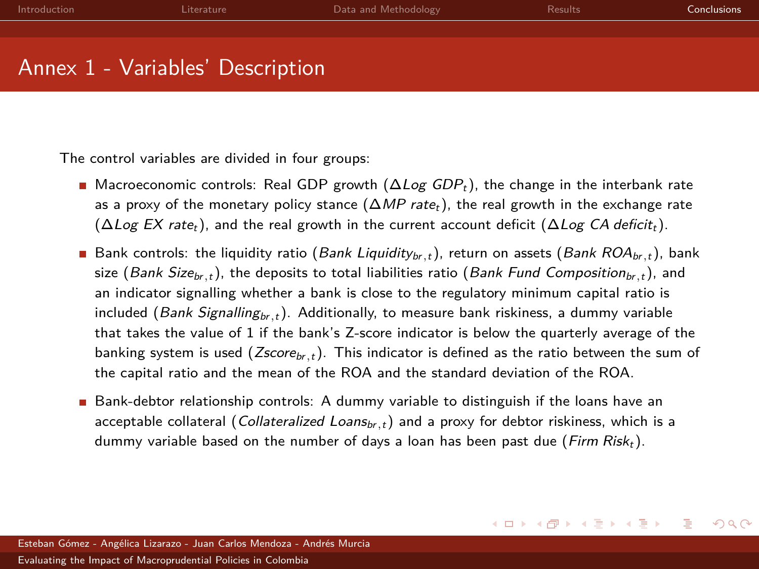| Introduction | Literature                       | Data and Methodology | <b>Results</b> | <b>Conclusions</b> |
|--------------|----------------------------------|----------------------|----------------|--------------------|
|              |                                  |                      |                |                    |
|              |                                  |                      |                |                    |
|              | Annex 1 - Variables' Description |                      |                |                    |

The control variables are divided in four groups:

- **Macroeconomic controls: Real GDP growth (** $\Delta Log$  **GDP<sub>t</sub>), the change in the interbank rate** as a proxy of the monetary policy stance  $(\Delta MP \text{ rate.})$ , the real growth in the exchange rate  $(\Delta Log EX \ rate_t)$ , and the real growth in the current account deficit  $(\Delta Log CA \ deficit_t)$ .
- Bank controls: the liquidity ratio (Bank Liquidity<sub>br,t</sub>), return on assets (Bank ROA<sub>br,t</sub>), bank size (Bank Size<sub>br,t</sub>), the deposits to total liabilities ratio (Bank Fund Composition<sub>br,t</sub>), and an indicator signalling whether a bank is close to the regulatory minimum capital ratio is included (Bank Signalling<sub>br,t</sub>). Additionally, to measure bank riskiness, a dummy variable that takes the value of 1 if the bank's Z-score indicator is below the quarterly average of the banking system is used (*Zscore<sub>br,t</sub>*). This indicator is defined as the ratio between the sum of the capital ratio and the mean of the ROA and the standard deviation of the ROA.
- Bank-debtor relationship controls: A dummy variable to distinguish if the loans have an acceptable collateral (Collateralized Loans<sub>br,t</sub>) and a proxy for debtor riskiness, which is a dummy variable based on the number of days a loan has been past due (Firm Risk<sub>t</sub>).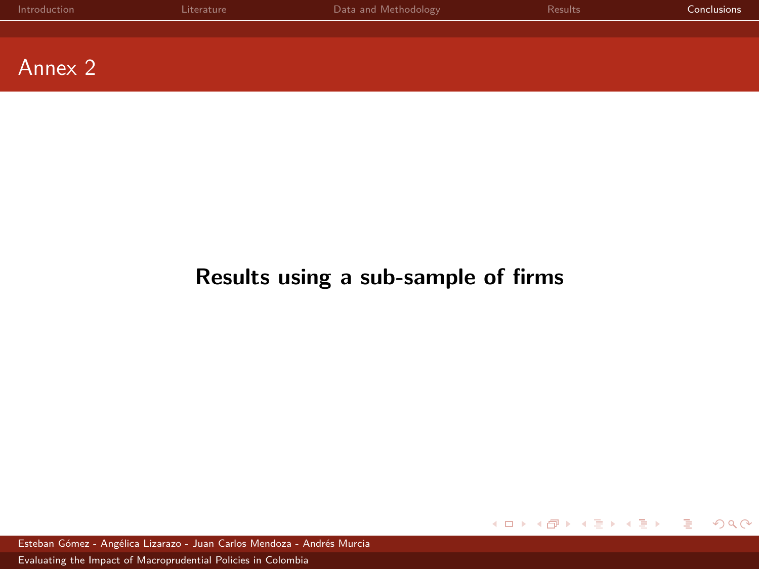<span id="page-25-0"></span>

| Introduction | Literature | Data and Methodology | Results | <b>Conclusions</b> |
|--------------|------------|----------------------|---------|--------------------|
|              |            |                      |         |                    |
|              |            |                      |         |                    |
| Annex 2      |            |                      |         |                    |

# **Results using a sub-sample of firms**

 $2Q$ イロト イ御 トイヨ トイヨト Ε

Esteban Gómez - Angélica Lizarazo - Juan Carlos Mendoza - Andrés Murcia [Evaluating the Impact of Macroprudential Policies in Colombia](#page-0-0)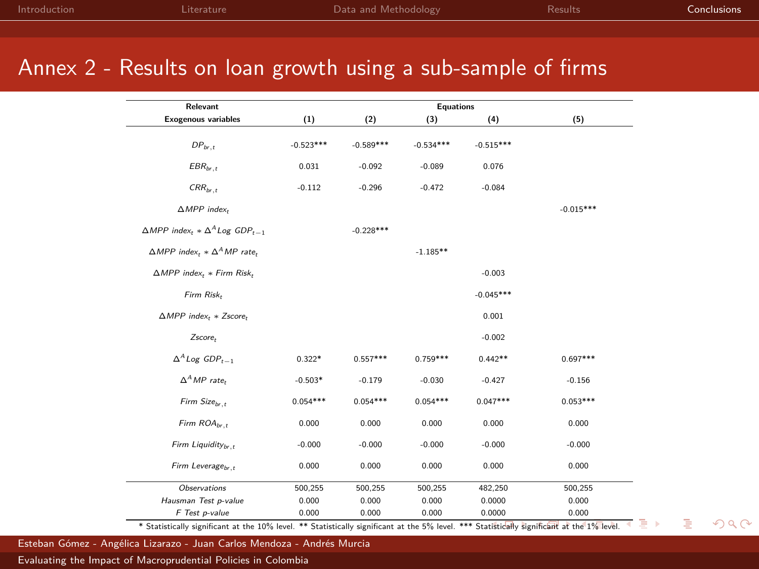## <span id="page-26-0"></span>Annex 2 - Results on loan growth using a sub-sample of firms

| Relevant                                                                           | <b>Equations</b> |             |             |             |             |
|------------------------------------------------------------------------------------|------------------|-------------|-------------|-------------|-------------|
| <b>Exogenous variables</b>                                                         | (1)              | (2)         | (3)         | (4)         | (5)         |
| $DP_{br. t}$                                                                       | $-0.523***$      | $-0.589***$ | $-0.534***$ | $-0.515***$ |             |
| $EBR_{br,t}$                                                                       | 0.031            | $-0.092$    | $-0.089$    | 0.076       |             |
| $CRR_{br, t}$                                                                      | $-0.112$         | $-0.296$    | $-0.472$    | $-0.084$    |             |
| $\triangle MPP$ index,                                                             |                  |             |             |             | $-0.015***$ |
| $\triangle MPP$ index <sub>t</sub> $*\triangle ^{A}$ Log GDP <sub>t-1</sub>        |                  | $-0.228***$ |             |             |             |
| $\triangle MPP$ index <sub>t</sub> $* \triangle$ <sup>A</sup> MP rate <sub>t</sub> |                  |             | $-1.185**$  |             |             |
| $\triangle MPP$ index <sub>t</sub> * Firm Risk <sub>t</sub>                        |                  |             |             | $-0.003$    |             |
| Firm Risk,                                                                         |                  |             |             | $-0.045***$ |             |
| $\triangle MPP$ index <sub>t</sub> * Zscore <sub>t</sub>                           |                  |             |             | 0.001       |             |
| Zscore,                                                                            |                  |             |             | $-0.002$    |             |
| $\Delta^A$ Log GDP <sub>t-1</sub>                                                  | $0.322*$         | $0.557***$  | $0.759***$  | $0.442**$   | $0.697***$  |
| $\Delta^A MP$ rate.                                                                | $-0.503*$        | $-0.179$    | $-0.030$    | $-0.427$    | $-0.156$    |
| Firm Size <sub>br</sub> ,                                                          | $0.054***$       | $0.054***$  | $0.054***$  | $0.047***$  | $0.053***$  |
| Firm $ROA_{hr}$ ,                                                                  | 0.000            | 0.000       | 0.000       | 0.000       | 0.000       |
| Firm Liquidity <sub>br</sub> ,                                                     | $-0.000$         | $-0.000$    | $-0.000$    | $-0.000$    | $-0.000$    |
| Firm Leverage <sub>hr</sub> ,                                                      | 0.000            | 0.000       | 0.000       | 0.000       | 0.000       |
| Observations                                                                       | 500,255          | 500,255     | 500,255     | 482,250     | 500,255     |
| Hausman Test p-value                                                               | 0.000            | 0.000       | 0.000       | 0.0000      | 0.000       |
| F Test p-value                                                                     | 0.000            | 0.000       | 0.000       | 0.0000      | 0.000       |

 $299$ 

Esteban Gómez - Angélica Lizarazo - Juan Carlos Mendoza - Andrés Murcia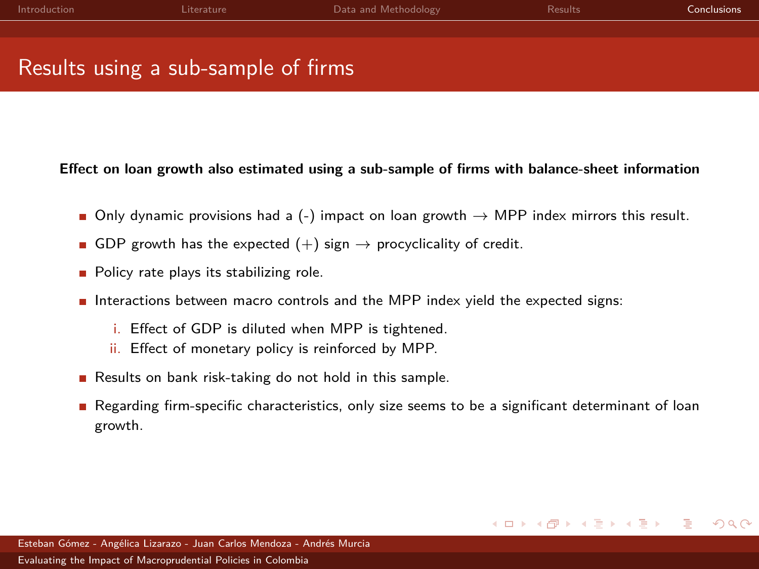<span id="page-27-0"></span>

| Introduction | Literature                          | Data and Methodology | <b>Results</b> | <b>Conclusions</b> |
|--------------|-------------------------------------|----------------------|----------------|--------------------|
|              |                                     |                      |                |                    |
|              | Results using a sub-sample of firms |                      |                |                    |

#### **Effect on loan growth also estimated using a sub-sample of firms with balance-sheet information**

- Only dynamic provisions had a (-) impact on loan growth  $\rightarrow$  MPP index mirrors this result.
- GDP growth has the expected  $(+)$  sign  $\rightarrow$  procyclicality of credit.
- **Policy rate plays its stabilizing role.**
- Interactions between macro controls and the MPP index yield the expected signs:
	- i. Effect of GDP is diluted when MPP is tightened.
	- ii. Effect of monetary policy is reinforced by MPP.
- Results on bank risk-taking do not hold in this sample.
- Regarding firm-specific characteristics, only size seems to be a significant determinant of loan growth.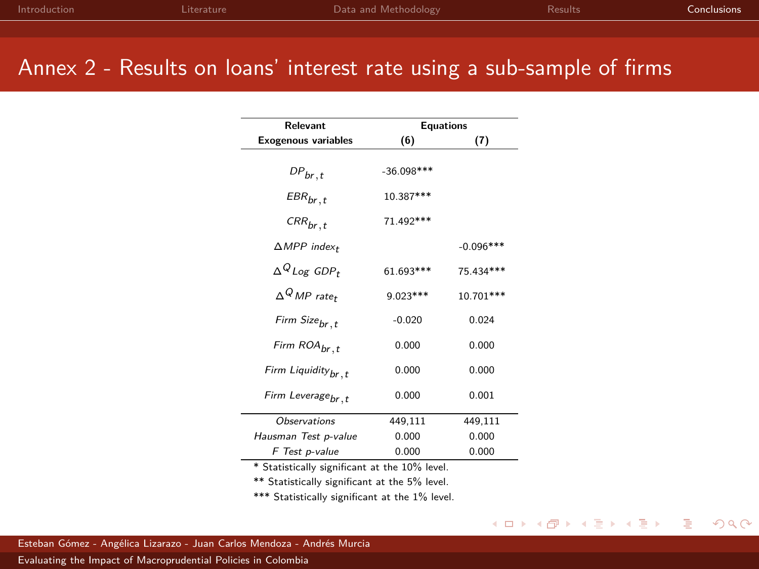## Annex 2 - Results on loans' interest rate using a sub-sample of firms

÷,

| Relevant                           | <b>Equations</b> |             |  |
|------------------------------------|------------------|-------------|--|
| <b>Exogenous variables</b>         | (6)              | (7)         |  |
|                                    |                  |             |  |
| $DP_{br, t}$                       | $-36.098***$     |             |  |
| $EBR_{br, t}$                      | 10.387***        |             |  |
| $CRR_{br, t}$                      | 71.492***        |             |  |
| $\triangle MPP$ index <sub>t</sub> |                  | $-0.096***$ |  |
| $\Delta^Q$ Loe GDP+                | 61.693***        | 75.434***   |  |
| $\wedge^Q MP$ rate+                | $9.023***$       | 10.701***   |  |
| Firm Size <sub>br.t</sub>          | $-0.020$         | 0.024       |  |
| Firm ROA <sub>br.t</sub>           | 0.000            | 0.000       |  |
| Firm Liquidity <sub>br, t</sub>    | 0.000            | 0.000       |  |
| Firm Leverage <sub>br</sub> ,t     | 0.000            | 0.001       |  |
| <b>Observations</b>                | 449,111          | 449,111     |  |
| Hausman Test p-value               | 0.000            | 0.000       |  |
| F Test p-value                     | 0.000            | 0.000       |  |

\* Statistically significant at the 10% level.

\*\* Statistically significant at the 5% level.

\*\*\* Statistically significant at the 1% level.

 $2Q$ 

イロト イ母 トイラト イラト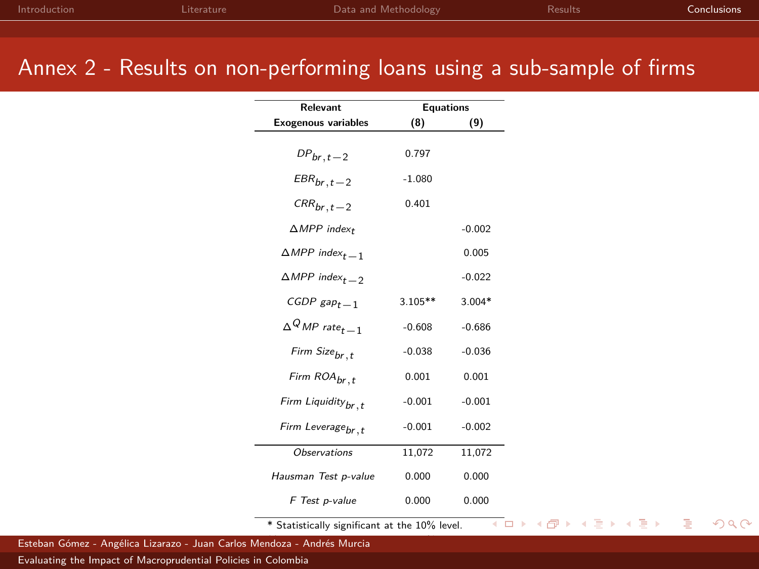## Annex 2 - Results on non-performing loans using a sub-sample of firms

| Relevant                              | <b>Equations</b> |          |
|---------------------------------------|------------------|----------|
| <b>Exogenous variables</b>            | (8)              | (9)      |
| $DP_{br, t-2}$                        | 0.797            |          |
| $EBR_{br. t-2}$                       | $-1.080$         |          |
| $CRR_{br. t-2}$                       | 0.401            |          |
| $\triangle MPP$ index+                |                  | $-0.002$ |
| $\triangle MPP$ index <sub>t -1</sub> |                  | 0.005    |
| $\triangle MPP$ index <sub>t -2</sub> |                  | $-0.022$ |
| CGDP $\mathsf{gap}_{t-1}$             | $3.105**$        | $3.004*$ |
| $\Delta^Q$ MP rate $_{t\,-\,1}$       | $-0.608$         | $-0.686$ |
| Firm Size <sub>br,t</sub>             | $-0.038$         | $-0.036$ |
| Firm ROA <sub>br,t</sub>              | 0.001            | 0.001    |
| Firm Liquidity <sub>br, t</sub>       | $-0.001$         | $-0.001$ |
| Firm Leverage <sub>br</sub> ,t        | $-0.001$         | $-0.002$ |
| <b>Observations</b>                   | 11,072           | 11,072   |
| Hausman Test p-value                  | 0.000            | 0.000    |
| F Test p-value                        | 0.000            | 0.000    |

\* Statistically significant at the 10% level.

 $2Q$ 

э

イロト イ母ト イヨト イヨト

Esteban Gómez - Angélica Lizarazo - Juan Carlos Mendoza - Andrés Murcia